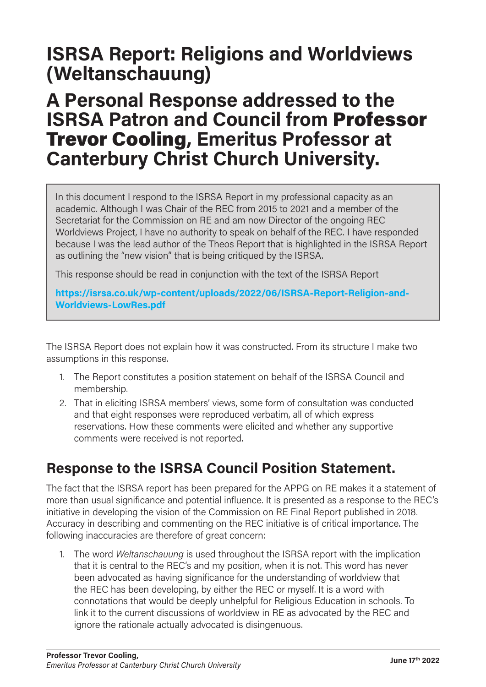# ISRSA Report: Religions and Worldviews (Weltanschauung)

## A Personal Response addressed to the ISRSA Patron and Council from Professor Trevor Cooling, Emeritus Professor at Canterbury Christ Church University.

In this document I respond to the ISRSA Report in my professional capacity as an academic. Although I was Chair of the REC from 2015 to 2021 and a member of the Secretariat for the Commission on RE and am now Director of the ongoing REC Worldviews Project, I have no authority to speak on behalf of the REC. I have responded because I was the lead author of the Theos Report that is highlighted in the ISRSA Report as outlining the "new vision" that is being critiqued by the ISRSA.

This response should be read in conjunction with the text of the ISRSA Report

https://isrsa.co.uk/wp-content/uploads/2022/06/ISRSA-Report-Religion-and-Worldviews-LowRes.pdf

The ISRSA Report does not explain how it was constructed. From its structure I make two assumptions in this response.

- 1. The Report constitutes a position statement on behalf of the ISRSA Council and membership.
- 2. That in eliciting ISRSA members' views, some form of consultation was conducted and that eight responses were reproduced verbatim, all of which express reservations. How these comments were elicited and whether any supportive comments were received is not reported.

## Response to the ISRSA Council Position Statement.

The fact that the ISRSA report has been prepared for the APPG on RE makes it a statement of more than usual significance and potential influence. It is presented as a response to the REC's initiative in developing the vision of the Commission on RE Final Report published in 2018. Accuracy in describing and commenting on the REC initiative is of critical importance. The following inaccuracies are therefore of great concern:

1. The word Weltanschauung is used throughout the ISRSA report with the implication that it is central to the REC's and my position, when it is not. This word has never been advocated as having significance for the understanding of worldview that the REC has been developing, by either the REC or myself. It is a word with connotations that would be deeply unhelpful for Religious Education in schools. To link it to the current discussions of worldview in RE as advocated by the REC and ignore the rationale actually advocated is disingenuous.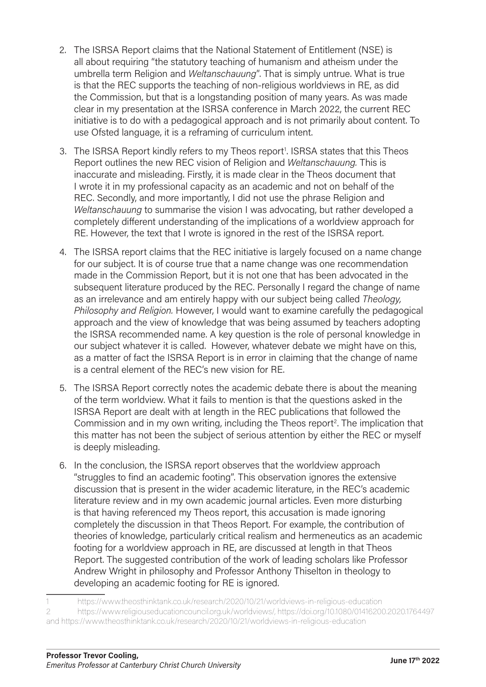- 2. The ISRSA Report claims that the National Statement of Entitlement (NSE) is all about requiring "the statutory teaching of humanism and atheism under the umbrella term Religion and Weltanschauung". That is simply untrue. What is true is that the REC supports the teaching of non-religious worldviews in RE, as did the Commission, but that is a longstanding position of many years. As was made clear in my presentation at the ISRSA conference in March 2022, the current REC initiative is to do with a pedagogical approach and is not primarily about content. To use Ofsted language, it is a reframing of curriculum intent.
- 3. The ISRSA Report kindly refers to my Theos report<sup>1</sup>. ISRSA states that this Theos Report outlines the new REC vision of Religion and Weltanschauung. This is inaccurate and misleading. Firstly, it is made clear in the Theos document that I wrote it in my professional capacity as an academic and not on behalf of the REC. Secondly, and more importantly, I did not use the phrase Religion and Weltanschauung to summarise the vision I was advocating, but rather developed a completely different understanding of the implications of a worldview approach for RE. However, the text that I wrote is ignored in the rest of the ISRSA report.
- 4. The ISRSA report claims that the REC initiative is largely focused on a name change for our subject. It is of course true that a name change was one recommendation made in the Commission Report, but it is not one that has been advocated in the subsequent literature produced by the REC. Personally I regard the change of name as an irrelevance and am entirely happy with our subject being called Theology, Philosophy and Religion. However, I would want to examine carefully the pedagogical approach and the view of knowledge that was being assumed by teachers adopting the ISRSA recommended name. A key question is the role of personal knowledge in our subject whatever it is called. However, whatever debate we might have on this, as a matter of fact the ISRSA Report is in error in claiming that the change of name is a central element of the REC's new vision for RE.
- 5. The ISRSA Report correctly notes the academic debate there is about the meaning of the term worldview. What it fails to mention is that the questions asked in the ISRSA Report are dealt with at length in the REC publications that followed the Commission and in my own writing, including the Theos report<sup>2</sup>. The implication that this matter has not been the subject of serious attention by either the REC or myself is deeply misleading.
- 6. In the conclusion, the ISRSA report observes that the worldview approach "struggles to find an academic footing". This observation ignores the extensive discussion that is present in the wider academic literature, in the REC's academic literature review and in my own academic journal articles. Even more disturbing is that having referenced my Theos report, this accusation is made ignoring completely the discussion in that Theos Report. For example, the contribution of theories of knowledge, particularly critical realism and hermeneutics as an academic footing for a worldview approach in RE, are discussed at length in that Theos Report. The suggested contribution of the work of leading scholars like Professor Andrew Wright in philosophy and Professor Anthony Thiselton in theology to developing an academic footing for RE is ignored.

2 https://www.religiouseducationcouncil.org.uk/worldviews/, https://doi.org/10.1080/01416200.2020.1764497 and https://www.theosthinktank.co.uk/research/2020/10/21/worldviews-in-religious-education

<sup>1</sup>  https://www.theosthinktank.co.uk/research/2020/10/21/worldviews-in-religious-education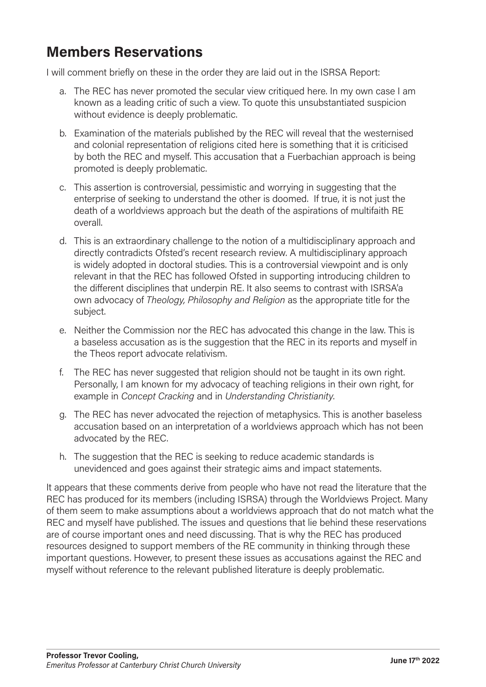#### Members Reservations

I will comment briefly on these in the order they are laid out in the ISRSA Report:

- a. The REC has never promoted the secular view critiqued here. In my own case I am known as a leading critic of such a view. To quote this unsubstantiated suspicion without evidence is deeply problematic.
- b. Examination of the materials published by the REC will reveal that the westernised and colonial representation of religions cited here is something that it is criticised by both the REC and myself. This accusation that a Fuerbachian approach is being promoted is deeply problematic.
- c. This assertion is controversial, pessimistic and worrying in suggesting that the enterprise of seeking to understand the other is doomed. If true, it is not just the death of a worldviews approach but the death of the aspirations of multifaith RE overall.
- d. This is an extraordinary challenge to the notion of a multidisciplinary approach and directly contradicts Ofsted's recent research review. A multidisciplinary approach is widely adopted in doctoral studies. This is a controversial viewpoint and is only relevant in that the REC has followed Ofsted in supporting introducing children to the different disciplines that underpin RE. It also seems to contrast with ISRSA'a own advocacy of Theology, Philosophy and Religion as the appropriate title for the subject.
- e. Neither the Commission nor the REC has advocated this change in the law. This is a baseless accusation as is the suggestion that the REC in its reports and myself in the Theos report advocate relativism.
- f. The REC has never suggested that religion should not be taught in its own right. Personally, I am known for my advocacy of teaching religions in their own right, for example in Concept Cracking and in Understanding Christianity.
- g. The REC has never advocated the rejection of metaphysics. This is another baseless accusation based on an interpretation of a worldviews approach which has not been advocated by the REC.
- h. The suggestion that the REC is seeking to reduce academic standards is unevidenced and goes against their strategic aims and impact statements.

It appears that these comments derive from people who have not read the literature that the REC has produced for its members (including ISRSA) through the Worldviews Project. Many of them seem to make assumptions about a worldviews approach that do not match what the REC and myself have published. The issues and questions that lie behind these reservations are of course important ones and need discussing. That is why the REC has produced resources designed to support members of the RE community in thinking through these important questions. However, to present these issues as accusations against the REC and myself without reference to the relevant published literature is deeply problematic.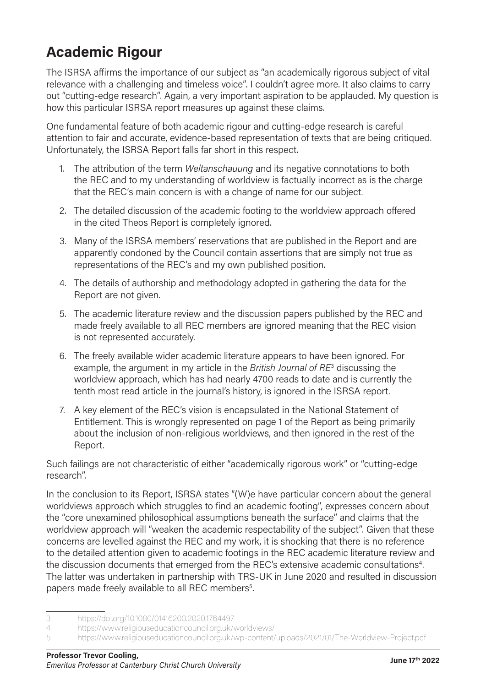## Academic Rigour

The ISRSA affirms the importance of our subject as "an academically rigorous subject of vital relevance with a challenging and timeless voice". I couldn't agree more. It also claims to carry out "cutting-edge research". Again, a very important aspiration to be applauded. My question is how this particular ISRSA report measures up against these claims.

One fundamental feature of both academic rigour and cutting-edge research is careful attention to fair and accurate, evidence-based representation of texts that are being critiqued. Unfortunately, the ISRSA Report falls far short in this respect.

- 1. The attribution of the term Weltanschauung and its negative connotations to both the REC and to my understanding of worldview is factually incorrect as is the charge that the REC's main concern is with a change of name for our subject.
- 2. The detailed discussion of the academic footing to the worldview approach offered in the cited Theos Report is completely ignored.
- 3. Many of the ISRSA members' reservations that are published in the Report and are apparently condoned by the Council contain assertions that are simply not true as representations of the REC's and my own published position.
- 4. The details of authorship and methodology adopted in gathering the data for the Report are not given.
- 5. The academic literature review and the discussion papers published by the REC and made freely available to all REC members are ignored meaning that the REC vision is not represented accurately.
- 6. The freely available wider academic literature appears to have been ignored. For example, the argument in my article in the British Journal of RE<sup>3</sup> discussing the worldview approach, which has had nearly 4700 reads to date and is currently the tenth most read article in the journal's history, is ignored in the ISRSA report.
- 7. A key element of the REC's vision is encapsulated in the National Statement of Entitlement. This is wrongly represented on page 1 of the Report as being primarily about the inclusion of non-religious worldviews, and then ignored in the rest of the Report.

Such failings are not characteristic of either "academically rigorous work" or "cutting-edge research".

In the conclusion to its Report, ISRSA states "(W)e have particular concern about the general worldviews approach which struggles to find an academic footing", expresses concern about the "core unexamined philosophical assumptions beneath the surface" and claims that the worldview approach will "weaken the academic respectability of the subject". Given that these concerns are levelled against the REC and my work, it is shocking that there is no reference to the detailed attention given to academic footings in the REC academic literature review and the discussion documents that emerged from the REC's extensive academic consultations<sup>4</sup>. The latter was undertaken in partnership with TRS-UK in June 2020 and resulted in discussion papers made freely available to all REC members<sup>5</sup>.

<sup>3</sup>  https://doi.org/10.1080/01416200.2020.1764497

<sup>4</sup>  https://www.religiouseducationcouncil.org.uk/worldviews/

<sup>5</sup>  https://www.religiouseducationcouncil.org.uk/wp-content/uploads/2021/01/The-Worldview-Project.pdf